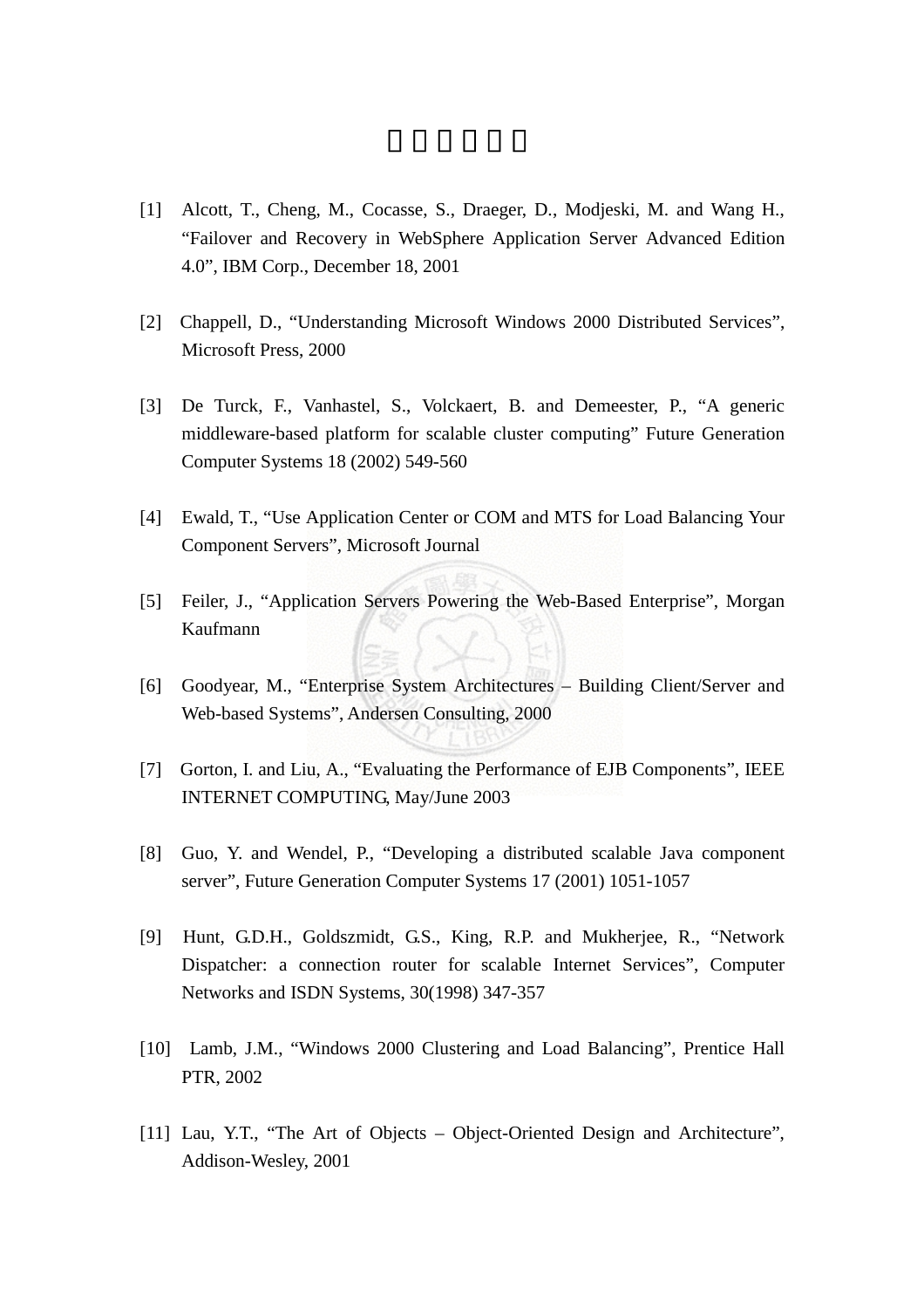- [1] Alcott, T., Cheng, M., Cocasse, S., Draeger, D., Modjeski, M. and Wang H., "Failover and Recovery in WebSphere Application Server Advanced Edition 4.0", IBM Corp., December 18, 2001
- [2] Chappell, D., "Understanding Microsoft Windows 2000 Distributed Services", Microsoft Press, 2000
- [3] De Turck, F., Vanhastel, S., Volckaert, B. and Demeester, P., "A generic middleware-based platform for scalable cluster computing" Future Generation Computer Systems 18 (2002) 549-560
- [4] Ewald, T., "Use Application Center or COM and MTS for Load Balancing Your Component Servers", Microsoft Journal
- [5] Feiler, J., "Application Servers Powering the Web-Based Enterprise", Morgan Kaufmann
- [6] Goodyear, M., "Enterprise System Architectures Building Client/Server and Web-based Systems", Andersen Consulting, 2000
- [7] Gorton, I. and Liu, A., "Evaluating the Performance of EJB Components", IEEE INTERNET COMPUTING, May/June 2003
- [8] Guo, Y. and Wendel, P., "Developing a distributed scalable Java component server", Future Generation Computer Systems 17 (2001) 1051-1057
- [9] Hunt, G.D.H., Goldszmidt, G.S., King, R.P. and Mukherjee, R., "Network Dispatcher: a connection router for scalable Internet Services", Computer Networks and ISDN Systems, 30(1998) 347-357
- [10] Lamb, J.M., "Windows 2000 Clustering and Load Balancing", Prentice Hall PTR, 2002
- [11] Lau, Y.T., "The Art of Objects Object-Oriented Design and Architecture", Addison-Wesley, 2001